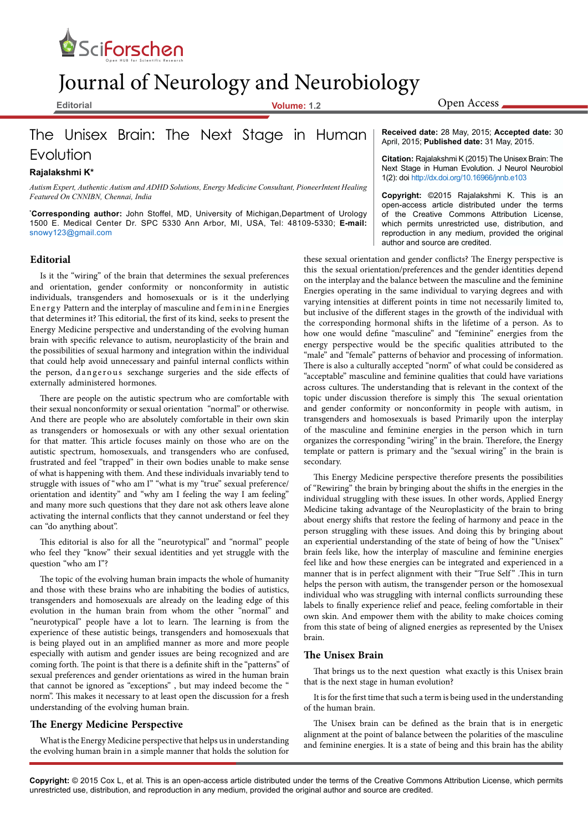

# Journal of Neurology and Neurobiology

**Editorial Volume: 1.2**

## The Unisex Brain: The Next Stage in Human

Evolution

#### **Rajalakshmi K\***

*Autism Expert, Authentic Autism and ADHD Solutions, Energy Medicine Consultant, PioneerIntent Healing Featured On CNNIBN, Chennai, India*

**\* Corresponding author:** John Stoffel, MD, University of Michigan,Department of Urology 1500 E. Medical Center Dr. SPC 5330 Ann Arbor, MI, USA, Tel: 48109-5330; **E-mail:**  snowy123@gmail.com

#### **Editorial**

Is it the "wiring" of the brain that determines the sexual preferences and orientation, gender conformity or nonconformity in autistic individuals, transgenders and homosexuals or is it the underlying Energy Pattern and the interplay of masculine and feminine Energies that determines it? This editorial, the first of its kind, seeks to present the Energy Medicine perspective and understanding of the evolving human brain with specific relevance to autism, neuroplasticity of the brain and the possibilities of sexual harmony and integration within the individual that could help avoid unnecessary and painful internal conflicts within the person, dangerous sexchange surgeries and the side effects of externally administered hormones.

There are people on the autistic spectrum who are comfortable with their sexual nonconformity or sexual orientation "normal" or otherwise. And there are people who are absolutely comfortable in their own skin as transgenders or homosexuals or with any other sexual orientation for that matter. This article focuses mainly on those who are on the autistic spectrum, homosexuals, and transgenders who are confused, frustrated and feel "trapped" in their own bodies unable to make sense of what is happening with them. And these individuals invariably tend to struggle with issues of "who am I" "what is my "true" sexual preference/ orientation and identity" and "why am I feeling the way I am feeling" and many more such questions that they dare not ask others leave alone activating the internal conflicts that they cannot understand or feel they can "do anything about".

This editorial is also for all the "neurotypical" and "normal" people who feel they "know" their sexual identities and yet struggle with the question "who am I"?

The topic of the evolving human brain impacts the whole of humanity and those with these brains who are inhabiting the bodies of autistics, transgenders and homosexuals are already on the leading edge of this evolution in the human brain from whom the other "normal" and "neurotypical" people have a lot to learn. The learning is from the experience of these autistic beings, transgenders and homosexuals that is being played out in an amplified manner as more and more people especially with autism and gender issues are being recognized and are coming forth. The point is that there is a definite shift in the "patterns" of sexual preferences and gender orientations as wired in the human brain that cannot be ignored as "exceptions" , but may indeed become the " norm". This makes it necessary to at least open the discussion for a fresh understanding of the evolving human brain.

#### **The Energy Medicine Perspective**

What is the Energy Medicine perspective that helps us in understanding the evolving human brain in a simple manner that holds the solution for

**Received date:** 28 May, 2015; **Accepted date:** 30 April, 2015; **Published date:** 31 May, 2015.

**Citation:** Rajalakshmi K (2015) The Unisex Brain: The Next Stage in Human Evolution. J Neurol Neurobiol 1(2): doi http://dx.doi.org/10.16966/jnnb.e103

**Copyright:** ©2015 Rajalakshmi K. This is an open-access article distributed under the terms of the Creative Commons Attribution License, which permits unrestricted use, distribution, and reproduction in any medium, provided the original author and source are credited.

these sexual orientation and gender conflicts? The Energy perspective is this the sexual orientation/preferences and the gender identities depend on the interplay and the balance between the masculine and the feminine Energies operating in the same individual to varying degrees and with varying intensities at different points in time not necessarily limited to, but inclusive of the different stages in the growth of the individual with the corresponding hormonal shifts in the lifetime of a person. As to how one would define "masculine" and "feminine" energies from the energy perspective would be the specific qualities attributed to the "male" and "female" patterns of behavior and processing of information. There is also a culturally accepted "norm" of what could be considered as "acceptable" masculine and feminine qualities that could have variations across cultures. The understanding that is relevant in the context of the topic under discussion therefore is simply this The sexual orientation and gender conformity or nonconformity in people with autism, in transgenders and homosexuals is based Primarily upon the interplay of the masculine and feminine energies in the person which in turn organizes the corresponding "wiring" in the brain. Therefore, the Energy template or pattern is primary and the "sexual wiring" in the brain is secondary.

This Energy Medicine perspective therefore presents the possibilities of "Rewiring" the brain by bringing about the shifts in the energies in the individual struggling with these issues. In other words, Applied Energy Medicine taking advantage of the Neuroplasticity of the brain to bring about energy shifts that restore the feeling of harmony and peace in the person struggling with these issues. And doing this by bringing about an experiential understanding of the state of being of how the "Unisex" brain feels like, how the interplay of masculine and feminine energies feel like and how these energies can be integrated and experienced in a manner that is in perfect alignment with their "True Self" .This in turn helps the person with autism, the transgender person or the homosexual individual who was struggling with internal conflicts surrounding these labels to finally experience relief and peace, feeling comfortable in their own skin. And empower them with the ability to make choices coming from this state of being of aligned energies as represented by the Unisex brain.

#### **The Unisex Brain**

That brings us to the next question what exactly is this Unisex brain that is the next stage in human evolution?

It is for the first time that such a term is being used in the understanding of the human brain.

The Unisex brain can be defined as the brain that is in energetic alignment at the point of balance between the polarities of the masculine and feminine energies. It is a state of being and this brain has the ability

**Copyright:** © 2015 Cox L, et al. This is an open-access article distributed under the terms of the Creative Commons Attribution License, which permits unrestricted use, distribution, and reproduction in any medium, provided the original author and source are credited.